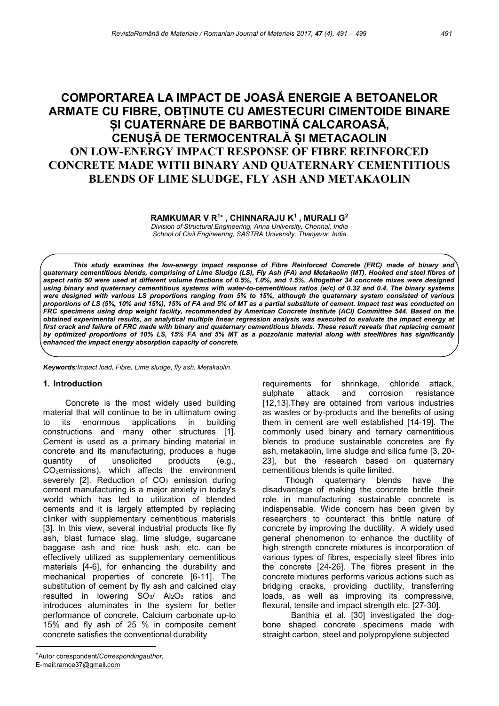# COMPORTAREA LA IMPACT DE JOASĂ ENERGIE A BETOANELOR ARMATE CU FIBRE, OBȚINUTE CU AMESTECURI CIMENTOIDE BINARE ȘI CUATERNARE DE BARBOTINĂ CALCAROASĂ, CENUȘĂ DE TERMOCENTRALĂ ȘI METACAOLIN ON LOW-ENERGY IMPACT RESPONSE OF FIBRE REINFORCED CONCRETE MADE WITH BINARY AND QUATERNARY CEMENTITIOUS BLENDS OF LIME SLUDGE, FLY ASH AND METAKAOLIN

RAMKUMAR V R<sup>1</sup>\*, CHINNARAJU K<sup>1</sup>, MURALI G<sup>2</sup>

Division of Structural Engineering, Anna University, Chennai, India School of Civil Engineering, SASTRA University, Thanjavur, India

This study examines the low-energy impact response of Fibre Reinforced Concrete (FRC) made of binary and quaternary cementitious blends, comprising of Lime Sludge (LS), Fly Ash (FA) and Metakaolin (MT). Hooked end steel fibres of aspect ratio 50 were used at different volume fractions of 0.5%, 1.0%, and 1.5%. Altogether 34 concrete mixes were designed using binary and quaternary cementitious systems with water-to-cementitious ratios (w/c) of 0.32 and 0.4. The binary systems were designed with various LS proportions ranging from 5% to 15%, although the quaternary system consisted of various proportions of LS (5%, 10% and 15%), 15% of FA and 5% of MT as a partial substitute of cement. Impact test was conducted on FRC specimens using drop weight facility, recommended by American Concrete Institute (ACI) Committee 544. Based on the obtained experimental results, an analytical multiple linear regression analysis was executed to evaluate the impact energy at first crack and failure of FRC made with binary and quaternary cementitious blends. These result reveals that replacing cement by optimized proportions of 10% LS, 15% FA and 5% MT as a pozzolanic material along with steelfibres has significantly enhanced the impact energy absorption capacity of concrete.

Keywords:Impact load, Fibre, Lime sludge, fly ash, Metakaolin.

#### 1. Introduction

Concrete is the most widely used building material that will continue to be in ultimatum owing to its enormous applications in building constructions and many other structures [1]. Cement is used as a primary binding material in concrete and its manufacturing, produces a huge quantity of unsolicited products (e.g., CO2emissions), which affects the environment severely  $[2]$ . Reduction of  $CO<sub>2</sub>$  emission during cement manufacturing is a major anxiety in today's world which has led to utilization of blended cements and it is largely attempted by replacing clinker with supplementary cementitious materials [3]. In this view, several industrial products like fly ash, blast furnace slag, lime sludge, sugarcane baggase ash and rice husk ash, etc. can be effectively utilized as supplementary cementitious materials [4-6], for enhancing the durability and mechanical properties of concrete [6-11]. The substitution of cement by fly ash and calcined clay resulted in lowering  $SO_3/$  Al<sub>2</sub>O<sub>3</sub> ratios and introduces aluminates in the system for better performance of concrete. Calcium carbonate up-to 15% and fly ash of 25 % in composite cement concrete satisfies the conventional durability

 requirements for shrinkage, chloride attack, sulphate attack and corrosion resistance [12,13].They are obtained from various industries as wastes or by-products and the benefits of using them in cement are well established [14-19]. The commonly used binary and ternary cementitious blends to produce sustainable concretes are fly ash, metakaolin, lime sludge and silica fume [3, 20- 23], but the research based on quaternary cementitious blends is quite limited.

Though quaternary blends have the disadvantage of making the concrete brittle their role in manufacturing sustainable concrete is indispensable. Wide concern has been given by researchers to counteract this brittle nature of concrete by improving the ductility. A widely used general phenomenon to enhance the ductility of high strength concrete mixtures is incorporation of various types of fibres, especially steel fibres into the concrete [24-26]. The fibres present in the concrete mixtures performs various actions such as bridging cracks, providing ductility, transferring loads, as well as improving its compressive, flexural, tensile and impact strength etc. [27-30].

Banthia et al. [30] investigated the dogbone shaped concrete specimens made with straight carbon, steel and polypropylene subjected

 Autor corespondent/Correspondingauthor, E-mail:ramce37@gmail.com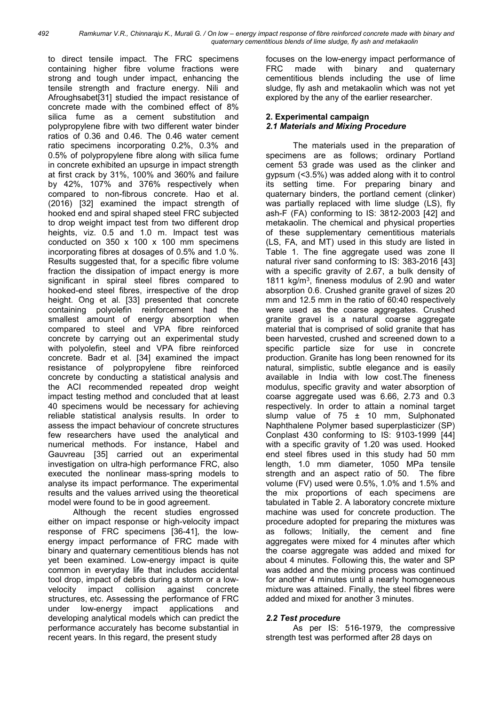to direct tensile impact. The FRC specimens containing higher fibre volume fractions were strong and tough under impact, enhancing the tensile strength and fracture energy. Nili and Afroughsabet[31] studied the impact resistance of concrete made with the combined effect of 8% silica fume as a cement substitution and polypropylene fibre with two different water binder ratios of 0.36 and 0.46. The 0.46 water cement ratio specimens incorporating 0.2%, 0.3% and 0.5% of polypropylene fibre along with silica fume in concrete exhibited an upsurge in impact strength at first crack by 31%, 100% and 360% and failure by 42%, 107% and 376% respectively when compared to non-fibrous concrete. Hao et al. (2016) [32] examined the impact strength of hooked end and spiral shaped steel FRC subjected to drop weight impact test from two different drop heights, viz. 0.5 and 1.0 m. Impact test was conducted on 350 x 100 x 100 mm specimens incorporating fibres at dosages of 0.5% and 1.0 %. Results suggested that, for a specific fibre volume fraction the dissipation of impact energy is more significant in spiral steel fibres compared to hooked-end steel fibres, irrespective of the drop height. Ong et al. [33] presented that concrete containing polyolefin reinforcement had the smallest amount of energy absorption when compared to steel and VPA fibre reinforced concrete by carrying out an experimental study with polyolefin, steel and VPA fibre reinforced concrete. Badr et al. [34] examined the impact resistance of polypropylene fibre reinforced concrete by conducting a statistical analysis and the ACI recommended repeated drop weight impact testing method and concluded that at least 40 specimens would be necessary for achieving reliable statistical analysis results. In order to assess the impact behaviour of concrete structures few researchers have used the analytical and numerical methods. For instance, Habel and Gauvreau [35] carried out an experimental investigation on ultra-high performance FRC, also executed the nonlinear mass-spring models to analyse its impact performance. The experimental results and the values arrived using the theoretical model were found to be in good agreement.

Although the recent studies engrossed either on impact response or high-velocity impact response of FRC specimens [36-41], the lowenergy impact performance of FRC made with binary and quaternary cementitious blends has not yet been examined. Low-energy impact is quite common in everyday life that includes accidental tool drop, impact of debris during a storm or a lowvelocity impact collision against concrete structures, etc. Assessing the performance of FRC under low-energy impact applications and developing analytical models which can predict the performance accurately has become substantial in recent years. In this regard, the present study

focuses on the low-energy impact performance of FRC made with binary and quaternary cementitious blends including the use of lime sludge, fly ash and metakaolin which was not yet explored by the any of the earlier researcher.

# 2. Experimental campaign 2.1 Materials and Mixing Procedure

The materials used in the preparation of specimens are as follows; ordinary Portland cement 53 grade was used as the clinker and gypsum (<3.5%) was added along with it to control its setting time. For preparing binary and quaternary binders, the portland cement (clinker) was partially replaced with lime sludge (LS), fly ash-F (FA) conforming to IS: 3812-2003 [42] and metakaolin. The chemical and physical properties of these supplementary cementitious materials (LS, FA, and MT) used in this study are listed in Table 1. The fine aggregate used was zone II natural river sand conforming to IS: 383-2016 [43] with a specific gravity of 2.67, a bulk density of 1811 kg/m<sup>3</sup> , fineness modulus of 2.90 and water absorption 0.6. Crushed granite gravel of sizes 20 mm and 12.5 mm in the ratio of 60:40 respectively were used as the coarse aggregates. Crushed granite gravel is a natural coarse aggregate material that is comprised of solid granite that has been harvested, crushed and screened down to a specific particle size for use in concrete production. Granite has long been renowned for its natural, simplistic, subtle elegance and is easily available in India with low cost.The fineness modulus, specific gravity and water absorption of coarse aggregate used was 6.66, 2.73 and 0.3 respectively. In order to attain a nominal target slump value of 75 ± 10 mm, Sulphonated Naphthalene Polymer based superplasticizer (SP) Conplast 430 conforming to IS: 9103-1999 [44] with a specific gravity of 1.20 was used. Hooked end steel fibres used in this study had 50 mm length, 1.0 mm diameter, 1050 MPa tensile strength and an aspect ratio of 50. The fibre volume (FV) used were 0.5%, 1.0% and 1.5% and the mix proportions of each specimens are tabulated in Table 2. A laboratory concrete mixture machine was used for concrete production. The procedure adopted for preparing the mixtures was as follows; Initially, the cement and fine agaregates were mixed for 4 minutes after which the coarse aggregate was added and mixed for about 4 minutes. Following this, the water and SP was added and the mixing process was continued for another 4 minutes until a nearly homogeneous mixture was attained. Finally, the steel fibres were added and mixed for another 3 minutes.

# 2.2 Test procedure

As per IS: 516-1979, the compressive strength test was performed after 28 days on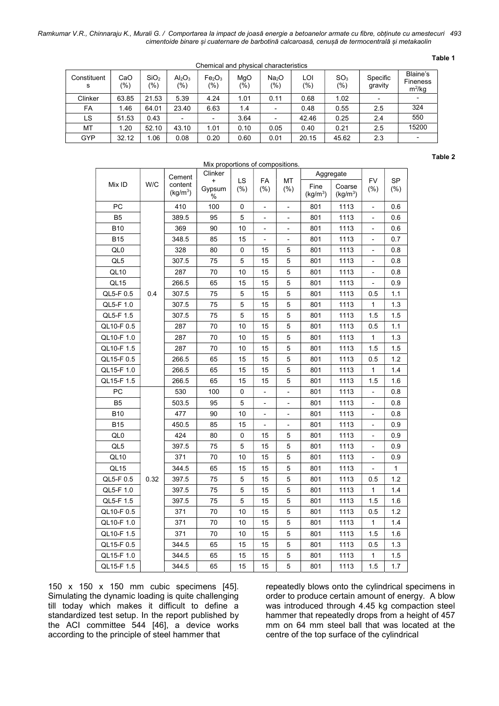Ramkumar V.R., Chinnaraju K., Murali G. / Comportarea la impact de joasă energie a betoanelor armate cu fibre, obținute cu amestecuri 493 cimentoide binare și cuaternare de barbotină calcaroasă, cenușă de termocentrală și metakaolin

| ۰.<br>×<br>٠<br>. .<br>۰. |
|---------------------------|
|---------------------------|

| . .<br>Chemical and physical characteristics |            |                         |                                       |                                                 |            |                          |            |                        |                     |                                         |
|----------------------------------------------|------------|-------------------------|---------------------------------------|-------------------------------------------------|------------|--------------------------|------------|------------------------|---------------------|-----------------------------------------|
| Constituent<br>s                             | CaO<br>(%) | SiO <sub>2</sub><br>(%) | Al <sub>2</sub> O <sub>3</sub><br>(%) | Fe <sub>2</sub> O <sub>3</sub><br>$\frac{1}{2}$ | MgO<br>(%) | Na <sub>2</sub> O<br>(%) | LOI<br>(%) | SO <sub>3</sub><br>(%) | Specific<br>gravity | Blaine's<br><b>Fineness</b><br>$m^2/kq$ |
| Clinker                                      | 63.85      | 21.53                   | 5.39                                  | 4.24                                            | 1.01       | 0.11                     | 0.68       | 1.02                   | ٠                   |                                         |
| <b>FA</b>                                    | 1.46       | 64.01                   | 23.40                                 | 6.63                                            | 1.4        |                          | 0.48       | 0.55                   | 2.5                 | 324                                     |
| LS                                           | 51.53      | 0.43                    |                                       | ٠                                               | 3.64       |                          | 42.46      | 0.25                   | 2.4                 | 550                                     |
| MT                                           | 1.20       | 52.10                   | 43.10                                 | 1.01                                            | 0.10       | 0.05                     | 0.40       | 0.21                   | 2.5                 | 15200                                   |
| GYP                                          | 32.12      | .06                     | 0.08                                  | 0.20                                            | 0.60       | 0.01                     | 20.15      | 45.62                  | 2.3                 | $\overline{\phantom{a}}$                |

Table 2

| Mix proportions of compositions. |      |                                 |                                                                               |    |                              |                                |                   |                  |     |     |
|----------------------------------|------|---------------------------------|-------------------------------------------------------------------------------|----|------------------------------|--------------------------------|-------------------|------------------|-----|-----|
|                                  | W/C  | Cement                          | Clinker<br>LS<br><b>FA</b><br>МT<br>+<br>Gypsum<br>(% )<br>$(\%)$<br>(%)<br>% |    |                              |                                | Aggregate         |                  |     |     |
| Mix ID                           |      | content<br>(kq/m <sup>3</sup> ) |                                                                               |    | Fine<br>(kg/m <sup>3</sup> ) | Coarse<br>(kg/m <sup>3</sup> ) | <b>FV</b><br>(% ) | <b>SP</b><br>(%) |     |     |
| PC                               |      | 410                             | 100                                                                           | 0  | Ĭ.                           | $\overline{a}$                 | 801               | 1113             |     | 0.6 |
| B <sub>5</sub>                   |      | 389.5                           | 95                                                                            | 5  |                              | L,                             | 801               | 1113             |     | 0.6 |
| <b>B10</b>                       |      | 369                             | 90                                                                            | 10 | $\overline{a}$               |                                | 801               | 1113             |     | 0.6 |
| <b>B15</b>                       |      | 348.5                           | 85                                                                            | 15 | Ĭ.                           |                                | 801               | 1113             |     | 0.7 |
| QL <sub>0</sub>                  |      | 328                             | 80                                                                            | 0  | 15                           | 5                              | 801               | 1113             |     | 0.8 |
| QL5                              |      | 307.5                           | 75                                                                            | 5  | 15                           | 5                              | 801               | 1113             |     | 0.8 |
| QL <sub>10</sub>                 |      | 287                             | 70                                                                            | 10 | 15                           | 5                              | 801               | 1113             |     | 0.8 |
| QL <sub>15</sub>                 |      | 266.5                           | 65                                                                            | 15 | 15                           | 5                              | 801               | 1113             |     | 0.9 |
| QL5-F 0.5                        | 0.4  | 307.5                           | 75                                                                            | 5  | 15                           | 5                              | 801               | 1113             | 0.5 | 1.1 |
| QL5-F 1.0                        |      | 307.5                           | 75                                                                            | 5  | 15                           | 5                              | 801               | 1113             | 1   | 1.3 |
| QL5-F 1.5                        |      | 307.5                           | 75                                                                            | 5  | 15                           | 5                              | 801               | 1113             | 1.5 | 1.5 |
| QL10-F 0.5                       |      | 287                             | 70                                                                            | 10 | 15                           | 5                              | 801               | 1113             | 0.5 | 1.1 |
| QL10-F 1.0                       |      | 287                             | 70                                                                            | 10 | 15                           | 5                              | 801               | 1113             | 1   | 1.3 |
| QL10-F 1.5                       |      | 287                             | 70                                                                            | 10 | 15                           | 5                              | 801               | 1113             | 1.5 | 1.5 |
| QL15-F 0.5                       |      | 266.5                           | 65                                                                            | 15 | 15                           | 5                              | 801               | 1113             | 0.5 | 1.2 |
| QL15-F 1.0                       |      | 266.5                           | 65                                                                            | 15 | 15                           | 5                              | 801               | 1113             | 1   | 1.4 |
| QL15-F 1.5                       |      | 266.5                           | 65                                                                            | 15 | 15                           | 5                              | 801               | 1113             | 1.5 | 1.6 |
| PC                               |      | 530                             | 100                                                                           | 0  |                              |                                | 801               | 1113             |     | 0.8 |
| B <sub>5</sub>                   |      | 503.5                           | 95                                                                            | 5  |                              |                                | 801               | 1113             |     | 0.8 |
| <b>B10</b>                       |      | 477                             | 90                                                                            | 10 | Ĭ.                           | L,                             | 801               | 1113             |     | 0.8 |
| <b>B15</b>                       |      | 450.5                           | 85                                                                            | 15 | Ĭ.                           |                                | 801               | 1113             |     | 0.9 |
| QL0                              |      | 424                             | 80                                                                            | 0  | 15                           | 5                              | 801               | 1113             |     | 0.9 |
| QL5                              |      | 397.5                           | 75                                                                            | 5  | 15                           | 5                              | 801               | 1113             |     | 0.9 |
| QL <sub>10</sub>                 |      | 371                             | 70                                                                            | 10 | 15                           | 5                              | 801               | 1113             |     | 0.9 |
| QL <sub>15</sub>                 |      | 344.5                           | 65                                                                            | 15 | 15                           | 5                              | 801               | 1113             |     | 1   |
| QL5-F 0.5                        | 0.32 | 397.5                           | 75                                                                            | 5  | 15                           | 5                              | 801               | 1113             | 0.5 | 1.2 |
| QL5-F 1.0                        |      | 397.5                           | 75                                                                            | 5  | 15                           | 5                              | 801               | 1113             | 1   | 1.4 |
| QL5-F 1.5                        |      | 397.5                           | 75                                                                            | 5  | 15                           | 5                              | 801               | 1113             | 1.5 | 1.6 |
| QL10-F 0.5                       |      | 371                             | 70                                                                            | 10 | 15                           | 5                              | 801               | 1113             | 0.5 | 1.2 |
| QL10-F 1.0                       |      | 371                             | 70                                                                            | 10 | 15                           | 5                              | 801               | 1113             | 1   | 1.4 |
| QL10-F 1.5                       |      | 371                             | 70                                                                            | 10 | 15                           | 5                              | 801               | 1113             | 1.5 | 1.6 |
| QL15-F 0.5                       |      | 344.5                           | 65                                                                            | 15 | 15                           | 5                              | 801               | 1113             | 0.5 | 1.3 |
| QL15-F 1.0                       |      | 344.5                           | 65                                                                            | 15 | 15                           | 5                              | 801               | 1113             | 1   | 1.5 |
| QL15-F 1.5                       |      | 344.5                           | 65                                                                            | 15 | 15                           | 5                              | 801               | 1113             | 1.5 | 1.7 |

150 x 150 x 150 mm cubic specimens [45]. Simulating the dynamic loading is quite challenging till today which makes it difficult to define a standardized test setup. In the report published by the ACI committee 544 [46], a device works according to the principle of steel hammer that

repeatedly blows onto the cylindrical specimens in order to produce certain amount of energy. A blow was introduced through 4.45 kg compaction steel hammer that repeatedly drops from a height of 457 mm on 64 mm steel ball that was located at the centre of the top surface of the cylindrical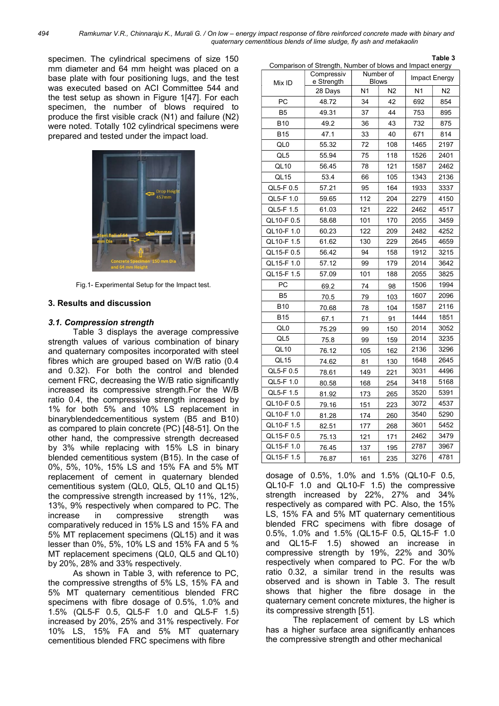494 Ramkumar V.R., Chinnaraju K., Murali G. / On low – energy impact response of fibre reinforced concrete made with binary and quaternary cementitious blends of lime sludge, fly ash and metakaolin

specimen. The cylindrical specimens of size 150 mm diameter and 64 mm height was placed on a base plate with four positioning lugs, and the test was executed based on ACI Committee 544 and the test setup as shown in Figure 1[47]. For each specimen, the number of blows required to produce the first visible crack (N1) and failure (N2) were noted. Totally 102 cylindrical specimens were prepared and tested under the impact load.



Fig.1- Experimental Setup for the Impact test.

#### 3. Results and discussion

#### 3.1. Compression strength

Table 3 displays the average compressive strength values of various combination of binary and quaternary composites incorporated with steel fibres which are grouped based on W/B ratio (0.4 and 0.32). For both the control and blended cement FRC, decreasing the W/B ratio significantly increased its compressive strength.For the W/B ratio 0.4, the compressive strength increased by 1% for both 5% and 10% LS replacement in binaryblendedcementitious system (B5 and B10) as compared to plain concrete (PC) [48-51]. On the other hand, the compressive strength decreased by 3% while replacing with 15% LS in binary blended cementitious system (B15). In the case of 0%, 5%, 10%, 15% LS and 15% FA and 5% MT replacement of cement in quaternary blended cementitious system (QL0, QL5, QL10 and QL15) the compressive strength increased by 11%, 12%, 13%, 9% respectively when compared to PC. The increase in compressive strength was comparatively reduced in 15% LS and 15% FA and 5% MT replacement specimens (QL15) and it was lesser than 0%, 5%, 10% LS and 15% FA and 5 % MT replacement specimens (QL0, QL5 and QL10) by 20%, 28% and 33% respectively.

As shown in Table 3, with reference to PC, the compressive strengths of 5% LS, 15% FA and 5% MT quaternary cementitious blended FRC specimens with fibre dosage of 0.5%, 1.0% and 1.5% (QL5-F 0.5, QL5-F 1.0 and QL5-F 1.5) increased by 20%, 25% and 31% respectively. For 10% LS, 15% FA and 5% MT quaternary cementitious blended FRC specimens with fibre

| Mix ID           | Compressiv<br>e Strength |     | Number of<br><b>Blows</b> | Impact Energy |      |  |
|------------------|--------------------------|-----|---------------------------|---------------|------|--|
|                  | 28 Days                  | N1  | N2                        | N1            | Ν2   |  |
| PC               | 48.72                    | 34  | 42                        | 692           | 854  |  |
| B <sub>5</sub>   | 49.31                    | 37  | 44                        | 753           | 895  |  |
| <b>B10</b>       | 49.2                     | 36  | 43                        | 732           | 875  |  |
| <b>B15</b>       | 47.1                     | 33  | 40                        | 671           | 814  |  |
| QL0              | 55.32                    | 72  | 108                       | 1465          | 2197 |  |
| QL5              | 55.94                    | 75  | 118                       | 1526          | 2401 |  |
| QL <sub>10</sub> | 56.45                    | 78  | 121                       | 1587          | 2462 |  |
| QL15             | 53.4                     | 66  | 105                       | 1343          | 2136 |  |
| QL5-F 0.5        | 57.21                    | 95  | 164                       | 1933          | 3337 |  |
| QL5-F 1.0        | 59.65                    | 112 | 204                       | 2279          | 4150 |  |
| QL5-F 1.5        | 61.03                    | 121 | 222                       | 2462          | 4517 |  |
| QL10-F 0.5       | 58.68                    | 101 | 170                       | 2055          | 3459 |  |
| QL10-F 1.0       | 60.23                    | 122 | 209                       | 2482          | 4252 |  |
| QL10-F 1.5       | 61.62                    | 130 | 229                       | 2645          | 4659 |  |
| QL15-F0.5        | 56.42                    | 94  | 158                       | 1912          | 3215 |  |
| QL15-F 1.0       | 57.12                    | 99  | 179                       | 2014          | 3642 |  |
| QL15-F 1.5       | 57.09                    | 101 | 188                       | 2055          | 3825 |  |
| PC               | 69.2                     | 74  | 98                        | 1506          | 1994 |  |
| B <sub>5</sub>   | 70.5                     | 79  | 103                       | 1607          | 2096 |  |
| <b>B10</b>       | 70.68                    | 78  | 104                       | 1587          | 2116 |  |
| <b>B15</b>       | 67.1                     | 71  | 91                        | 1444          | 1851 |  |
| QL0              | 75.29                    | 99  | 150                       | 2014          | 3052 |  |
| QL5              | 75.8                     | 99  | 159                       | 2014          | 3235 |  |
| QL <sub>10</sub> | 76.12                    | 105 | 162                       | 2136          | 3296 |  |
| QL <sub>15</sub> | 74.62                    | 81  | 130                       | 1648          | 2645 |  |
| QL5-F 0.5        | 78.61                    | 149 | 221                       | 3031          | 4496 |  |
| QL5-F 1.0        | 80.58                    | 168 | 254                       | 3418          | 5168 |  |
| QL5-F 1.5        | 81.92                    | 173 | 265                       | 3520          | 5391 |  |
| QL10-F0.5        | 79.16                    | 151 | 223                       | 3072          | 4537 |  |
| QL10-F 1.0       | 81.28                    | 174 | 260                       | 3540          | 5290 |  |
| QL10-F 1.5       | 82.51                    | 177 | 268                       | 3601          | 5452 |  |
| QL15-F0.5        | 75.13                    | 121 | 171                       | 2462          | 3479 |  |
| QL15-F 1.0       | 76.45                    | 137 | 195                       | 2787          | 3967 |  |
| QL15-F 1.5       | 76.87                    | 161 | 235                       | 3276          | 4781 |  |

Comparison of Strength, Number of blows and Impact energy

Table 3

dosage of 0.5%, 1.0% and 1.5% (QL10-F 0.5, QL10-F 1.0 and QL10-F 1.5) the compressive strength increased by 22%, 27% and 34% respectively as compared with PC. Also, the 15% LS, 15% FA and 5% MT quaternary cementitious blended FRC specimens with fibre dosage of 0.5%, 1.0% and 1.5% (QL15-F 0.5, QL15-F 1.0 and QL15-F 1.5) showed an increase in compressive strength by 19%, 22% and 30% respectively when compared to PC. For the w/b ratio 0.32, a similar trend in the results was observed and is shown in Table 3. The result shows that higher the fibre dosage in the quaternary cement concrete mixtures, the higher is its compressive strength [51].

The replacement of cement by LS which has a higher surface area significantly enhances the compressive strength and other mechanical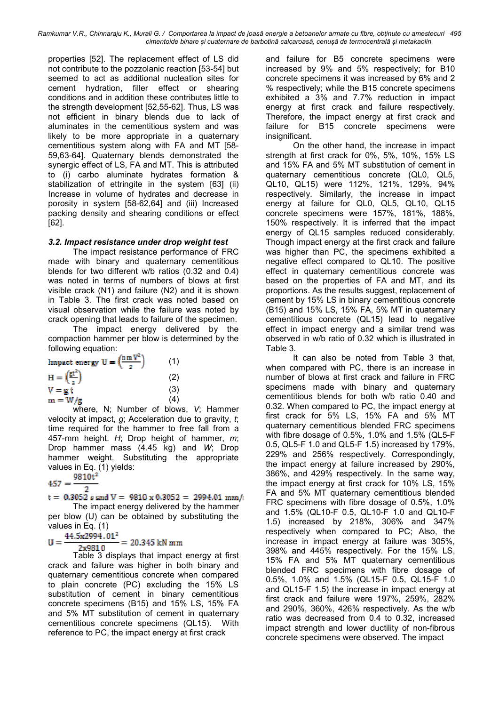Ramkumar V.R., Chinnaraju K., Murali G. / Comportarea la impact de joasă energie a betoanelor armate cu fibre, obținute cu amestecuri 495 cimentoide binare și cuaternare de barbotină calcaroasă, cenușă de termocentrală și metakaolin

properties [52]. The replacement effect of LS did not contribute to the pozzolanic reaction [53-54] but seemed to act as additional nucleation sites for cement hydration, filler effect or shearing conditions and in addition these contributes little to the strength development [52,55-62]. Thus, LS was not efficient in binary blends due to lack of aluminates in the cementitious system and was likely to be more appropriate in a quaternary cementitious system along with FA and MT [58- 59,63-64]. Quaternary blends demonstrated the synergic effect of LS, FA and MT. This is attributed to (i) carbo aluminate hydrates formation & stabilization of ettringite in the system [63] (ii) Increase in volume of hydrates and decrease in porosity in system [58-62,64] and (iii) Increased packing density and shearing conditions or effect [62].

# 3.2. Impact resistance under drop weight test

The impact resistance performance of FRC made with binary and quaternary cementitious blends for two different w/b ratios (0.32 and 0.4) was noted in terms of numbers of blows at first visible crack (N1) and failure (N2) and it is shown in Table 3. The first crack was noted based on visual observation while the failure was noted by crack opening that leads to failure of the specimen.

The impact energy delivered by the compaction hammer per blow is determined by the following equation:

| Impact energy $U = \left(\frac{n m V^2}{r}\right)^2$ | (1) |
|------------------------------------------------------|-----|
| $H = \left(\frac{p_T}{p_T}\right)$                   | (2) |
| $V = g t$                                            | (3) |
| $m = W/g$                                            | (4) |

where, N; Number of blows, V; Hammer velocity at impact,  $g$ ; Acceleration due to gravity,  $t$ ; time required for the hammer to free fall from a 457-mm height.  $H$ ; Drop height of hammer,  $m$ ; Drop hammer mass (4.45 kg) and W; Drop hammer weight. Substituting the appropriate values in Eq. (1) yields:

 $9810<sup>2</sup>$  $457 =$ 

 $t = 0.3052$  s and  $V = 9810 \times 0.3052 = 2994.01$  mm/: The impact energy delivered by the hammer per blow (U) can be obtained by substituting the

values in Eq. (1) 44.5x2994.01<sup>2</sup>

 $U =$  $= 20.345$  kN mm 2x9810

Table 3 displays that impact energy at first crack and failure was higher in both binary and quaternary cementitious concrete when compared to plain concrete (PC) excluding the 15% LS substitution of cement in binary cementitious concrete specimens (B15) and 15% LS, 15% FA and 5% MT substitution of cement in quaternary cementitious concrete specimens (QL15). With reference to PC, the impact energy at first crack

and failure for B5 concrete specimens were increased by 9% and 5% respectively; for B10 concrete specimens it was increased by 6% and 2 % respectively; while the B15 concrete specimens exhibited a 3% and 7.7% reduction in impact energy at first crack and failure respectively. Therefore, the impact energy at first crack and failure for B15 concrete specimens were insignificant.

On the other hand, the increase in impact strength at first crack for 0%, 5%, 10%, 15% LS and 15% FA and 5% MT substitution of cement in quaternary cementitious concrete (QL0, QL5, QL10, QL15) were 112%, 121%, 129%, 94% respectively. Similarly, the increase in impact energy at failure for QL0, QL5, QL10, QL15 concrete specimens were 157%, 181%, 188%, 150% respectively. It is inferred that the impact energy of QL15 samples reduced considerably. Though impact energy at the first crack and failure was higher than PC, the specimens exhibited a negative effect compared to QL10. The positive effect in quaternary cementitious concrete was based on the properties of FA and MT, and its proportions. As the results suggest, replacement of cement by 15% LS in binary cementitious concrete (B15) and 15% LS, 15% FA, 5% MT in quaternary cementitious concrete (QL15) lead to negative effect in impact energy and a similar trend was observed in w/b ratio of 0.32 which is illustrated in Table 3.

It can also be noted from Table 3 that, when compared with PC, there is an increase in number of blows at first crack and failure in FRC specimens made with binary and quaternary cementitious blends for both w/b ratio 0.40 and 0.32. When compared to PC, the impact energy at first crack for 5% LS, 15% FA and 5% MT quaternary cementitious blended FRC specimens with fibre dosage of 0.5%, 1.0% and 1.5% (QL5-F 0.5, QL5-F 1.0 and QL5-F 1.5) increased by 179%, 229% and 256% respectively. Correspondingly, the impact energy at failure increased by 290%, 386%, and 429% respectively. In the same way, the impact energy at first crack for 10% LS, 15% FA and 5% MT quaternary cementitious blended FRC specimens with fibre dosage of 0.5%, 1.0% and 1.5% (QL10-F 0.5, QL10-F 1.0 and QL10-F 1.5) increased by 218%, 306% and 347% respectively when compared to PC; Also, the increase in impact energy at failure was 305%, 398% and 445% respectively. For the 15% LS, 15% FA and 5% MT quaternary cementitious blended FRC specimens with fibre dosage of 0.5%, 1.0% and 1.5% (QL15-F 0.5, QL15-F 1.0 and QL15-F 1.5) the increase in impact energy at first crack and failure were 197%, 259%, 282% and 290%, 360%, 426% respectively. As the w/b ratio was decreased from 0.4 to 0.32, increased impact strength and lower ductility of non-fibrous concrete specimens were observed. The impact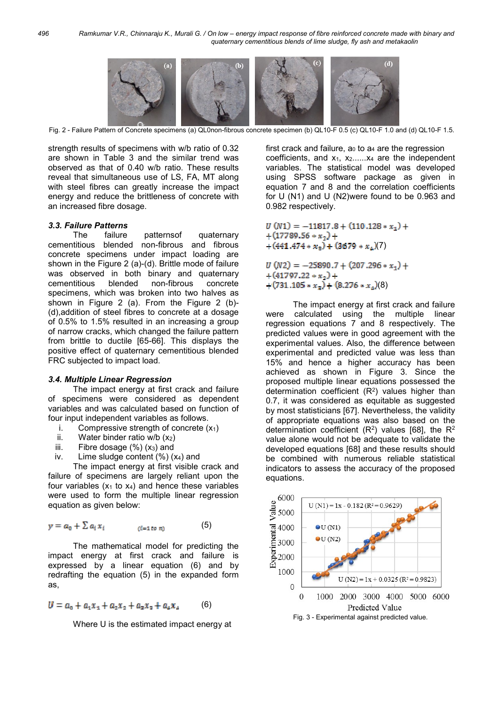

Fig. 2 - Failure Pattern of Concrete specimens (a) QL0non-fibrous concrete specimen (b) QL10-F 0.5 (c) QL10-F 1.0 and (d) QL10-F 1.5.

strength results of specimens with w/b ratio of 0.32 are shown in Table 3 and the similar trend was observed as that of 0.40 w/b ratio. These results reveal that simultaneous use of LS, FA, MT along with steel fibres can greatly increase the impact energy and reduce the brittleness of concrete with an increased fibre dosage.

#### 3.3. Failure Patterns

The failure patternsof quaternary cementitious blended non-fibrous and fibrous concrete specimens under impact loading are shown in the Figure 2 (a)-(d). Brittle mode of failure was observed in both binary and quaternary cementitious blended non-fibrous concrete specimens, which was broken into two halves as shown in Figure 2 (a). From the Figure 2 (b)- (d),addition of steel fibres to concrete at a dosage of 0.5% to 1.5% resulted in an increasing a group of narrow cracks, which changed the failure pattern from brittle to ductile [65-66]. This displays the positive effect of quaternary cementitious blended FRC subjected to impact load.

#### 3.4. Multiple Linear Regression

The impact energy at first crack and failure of specimens were considered as dependent variables and was calculated based on function of four input independent variables as follows.

- i. Compressive strength of concrete  $(x_1)$
- ii. Water binder ratio w/b  $(x_2)$
- iii. Fibre dosage  $(\%)$   $(x_3)$  and
- iv. Lime sludge content  $(\%)$   $(x_4)$  and

The impact energy at first visible crack and failure of specimens are largely reliant upon the four variables  $(x_1$  to  $x_4$ ) and hence these variables were used to form the multiple linear regression equation as given below:

$$
y = a_0 + \sum a_i x_i \qquad \qquad (5)
$$

The mathematical model for predicting the impact energy at first crack and failure is expressed by a linear equation (6) and by redrafting the equation (5) in the expanded form as,

$$
U = a_0 + a_1 x_1 + a_2 x_2 + a_3 x_3 + a_4 x_4 \tag{6}
$$

Where U is the estimated impact energy at

first crack and failure,  $a_0$  to  $a_4$  are the regression coefficients, and  $x_1$ ,  $x_2$ ...... $x_4$  are the independent variables. The statistical model was developed using SPSS software package as given in equation 7 and 8 and the correlation coefficients for U (N1) and U (N2)were found to be 0.963 and 0.982 respectively.

$$
U (N1) = -11817.8 + (110.128 * x1) ++ (17789.56 * x2) ++ (441.474 * x3) + (3679 * x4)(7)
$$

 $U(N2) = -25890.7 + (207.296 * x_1) +$  $+(41797.22 * x_2) +$ <br>+(731.105 \*  $x_3$ ) + (8.276 \*  $x_4$ )(8)

The impact energy at first crack and failure were calculated using the multiple linear regression equations 7 and 8 respectively. The predicted values were in good agreement with the experimental values. Also, the difference between experimental and predicted value was less than 15% and hence a higher accuracy has been achieved as shown in Figure 3. Since the proposed multiple linear equations possessed the determination coefficient  $(R^2)$  values higher than 0.7, it was considered as equitable as suggested by most statisticians [67]. Nevertheless, the validity of appropriate equations was also based on the determination coefficient  $(R^2)$  values [68], the  $R^2$ value alone would not be adequate to validate the developed equations [68] and these results should be combined with numerous reliable statistical indicators to assess the accuracy of the proposed equations.

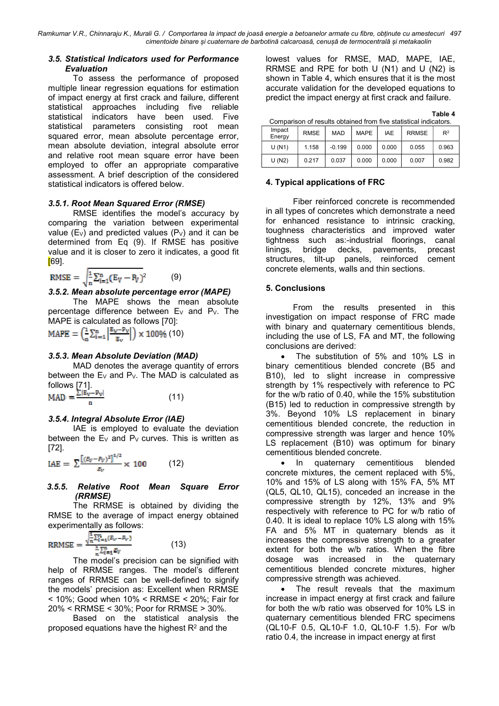Ramkumar V.R., Chinnaraju K., Murali G. / Comportarea la impact de joasă energie a betoanelor armate cu fibre, obținute cu amestecuri 497 cimentoide binare și cuaternare de barbotină calcaroasă, cenușă de termocentrală și metakaolin

#### 3.5. Statistical Indicators used for Performance Evaluation

To assess the performance of proposed multiple linear regression equations for estimation of impact energy at first crack and failure, different statistical approaches including five reliable statistical indicators have been used. Five statistical parameters consisting root mean squared error, mean absolute percentage error, mean absolute deviation, integral absolute error and relative root mean square error have been employed to offer an appropriate comparative assessment. A brief description of the considered statistical indicators is offered below.

# 3.5.1. Root Mean Squared Error (RMSE)

RMSE identifies the model's accuracy by comparing the variation between experimental value (E<sub>V</sub>) and predicted values (P<sub>V</sub>) and it can be determined from Eq (9). If RMSE has positive value and it is closer to zero it indicates, a good fit [69].

$$
\text{RMSE} = \sqrt{\frac{1}{n} \sum_{i=1}^{n} (E_V - P_V)^2}
$$
 (9)

#### 3.5.2. Mean absolute percentage error (MAPE)

The MAPE shows the mean absolute percentage difference between  $E_V$  and  $P_V$ . The MAPE is calculated as follows [70]:

$$
\text{MAPE} = \left(\frac{1}{n}\textstyle{\sum_{i=1}^{n}\left|\frac{\text{E}_{\text{w}}-\text{P}_{\text{v}}}{\text{E}_{\text{v}}}\right|}\right)\times 100\%\ (10)
$$

## 3.5.3. Mean Absolute Deviation (MAD)

MAD denotes the average quantity of errors between the  $Ev$  and  $P_v$ . The MAD is calculated as follows  $[71]$ .

$$
MAD = \frac{2\sqrt{np} - p_{V1}}{n} \tag{11}
$$

## 3.5.4. Integral Absolute Error (IAE)

IAE is employed to evaluate the deviation between the  $E_V$  and  $P_V$  curves. This is written as [72].

$$
IAE = \sum \frac{[(\bar{c}_V - \bar{r}_V)^2]^{1/2}}{\bar{c}_V} \times 100 \tag{12}
$$

## 3.5.5. Relative Root Mean Square Error (RRMSE)

The RRMSE is obtained by dividing the RMSE to the average of impact energy obtained experimentally as follows:

$$
RRMSE = \frac{\sqrt{\frac{2}{n}\sum_{i=1}^{n}(E_V - P_V)}}{\frac{2}{n}\sum_{i=1}^{n}E_V}
$$
(13)

The model's precision can be signified with help of RRMSE ranges. The model's different ranges of RRMSE can be well-defined to signify the models' precision as: Excellent when RRMSE < 10%; Good when 10% < RRMSE < 20%; Fair for 20% < RRMSE < 30%; Poor for RRMSE > 30%.

Based on the statistical analysis the proposed equations have the highest  $\mathsf{R}^2$  and the

lowest values for RMSE, MAD, MAPE, IAE, RRMSE and RPE for both U (N1) and U (N2) is shown in Table 4, which ensures that it is the most accurate validation for the developed equations to predict the impact energy at first crack and failure.

Table 4

| Comparison of results obtained from five statistical indicators. |             |            |       |       |              |       |  |  |  |
|------------------------------------------------------------------|-------------|------------|-------|-------|--------------|-------|--|--|--|
| Impact<br>Energy                                                 | <b>RMSE</b> | <b>MAD</b> | MAPE  | IAF   | <b>RRMSE</b> | $R^2$ |  |  |  |
| U(N1)                                                            | 1.158       | $-0.199$   | 0.000 | 0.000 | 0.055        | 0.963 |  |  |  |
| U(N2)                                                            | 0.217       | 0.037      | 0.000 | 0.000 | 0.007        | 0.982 |  |  |  |

## 4. Typical applications of FRC

Fiber reinforced concrete is recommended in all types of concretes which demonstrate a need for enhanced resistance to intrinsic cracking, toughness characteristics and improved water tightness such as:-industrial floorings, canal linings, bridge decks, pavements, precast structures, tilt-up panels, reinforced cement concrete elements, walls and thin sections.

## 5. Conclusions

From the results presented in this investigation on impact response of FRC made with binary and quaternary cementitious blends. including the use of LS, FA and MT, the following conclusions are derived:

 The substitution of 5% and 10% LS in binary cementitious blended concrete (B5 and B10), led to slight increase in compressive strength by 1% respectively with reference to PC for the w/b ratio of 0.40, while the 15% substitution (B15) led to reduction in compressive strength by 3%. Beyond 10% LS replacement in binary cementitious blended concrete, the reduction in compressive strength was larger and hence 10% LS replacement (B10) was optimum for binary cementitious blended concrete.

• In quaternary cementitious blended concrete mixtures, the cement replaced with 5%, 10% and 15% of LS along with 15% FA, 5% MT (QL5, QL10, QL15), conceded an increase in the compressive strength by 12%, 13% and 9% respectively with reference to PC for w/b ratio of 0.40. It is ideal to replace 10% LS along with 15% FA and 5% MT in quaternary blends as it increases the compressive strength to a greater extent for both the w/b ratios. When the fibre dosage was increased in the quaternary cementitious blended concrete mixtures, higher compressive strength was achieved.

• The result reveals that the maximum increase in impact energy at first crack and failure for both the w/b ratio was observed for 10% LS in quaternary cementitious blended FRC specimens (QL10-F 0.5, QL10-F 1.0, QL10-F 1.5). For w/b ratio 0.4, the increase in impact energy at first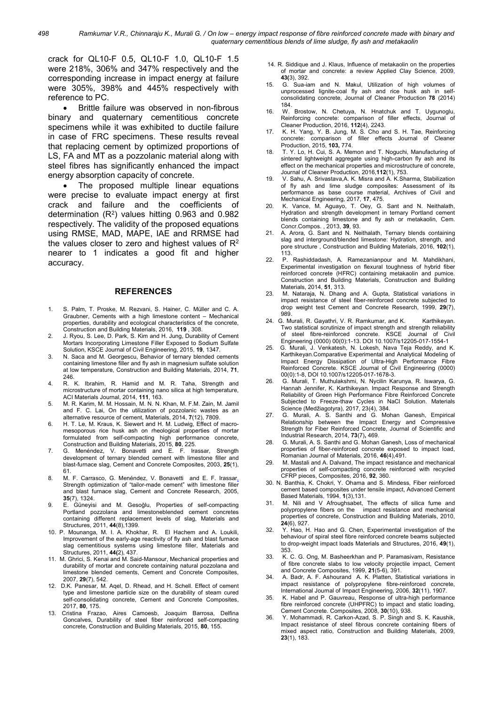crack for QL10-F 0.5, QL10-F 1.0, QL10-F 1.5 were 218%, 306% and 347% respectively and the corresponding increase in impact energy at failure were 305%, 398% and 445% respectively with reference to PC.

 Brittle failure was observed in non-fibrous binary and quaternary cementitious concrete specimens while it was exhibited to ductile failure in case of FRC specimens. These results reveal that replacing cement by optimized proportions of LS, FA and MT as a pozzolanic material along with steel fibres has significantly enhanced the impact energy absorption capacity of concrete.

 The proposed multiple linear equations were precise to evaluate impact energy at first crack and failure and the coefficients of determination (R<sup>2</sup> ) values hitting 0.963 and 0.982 respectively. The validity of the proposed equations using RMSE, MAD, MAPE, IAE and RRMSE had the values closer to zero and highest values of  $R<sup>2</sup>$ nearer to 1 indicates a good fit and higher accuracy.

#### **REFERENCES**

- 1. S. Palm, T. Proske, M. Rezvani, S. Hainer, C. Müller and C. A. Graubner, Cements with a high limestone content – Mechanical properties, durability and ecological characteristics of the concrete, Construction and Building Materials, 2016, 119 , 308.
- 2. J. Ryou, S. Lee, D. Park, S. Kim and H. Jung, Durability of Cement Mortars Incorporating Limestone Filler Exposed to Sodium Sulfate Solution, KSCE Journal of Civil Engineering, 2015, 19, 1347.
- 3. N. Saca and M. Georgescu, Behavior of ternary blended cements containing limestone filler and fly ash in magnesium sulfate solution at low temperature, Construction and Building Materials, 2014, 71, 246.
- 4. R. K. Ibrahim, R. Hamid and M. R. Taha, Strength and microstructure of mortar containing nano silica at high temperature, ACI Materials Journal, 2014, 111, 163.
- 5. M. R. Karim, M. M. Hossain, M. N. N. Khan, M. F.M. Zain, M. Jamil and F. C. Lai, On the utilization of pozzolanic wastes as an alternative resource of cement, Materials, 2014, 7(12), 7809.
- 6. H. T. Le, M. Kraus, K. Siewert and H. M. Ludwig, Effect of macromesoporous rice husk ash on rheological properties of mortar<br>formulated from self-compacting high performance concrete. formulated from self-compacting high performance Construction and Building Materials, 2015, 80, 225.
- 7. G. Menéndez, V. Bonavetti and E. F. Irassar, Strength development of ternary blended cement with limestone filler and blast-furnace slag, Cement and Concrete Composites, 2003, 25(1), 61.
- 8. M. F. Carrasco, G. Menéndez, V. Bonavetti and E. F. Irassar, Strength optimization of "tailor-made cement" with limestone filler and blast furnace slag, Cement and Concrete Research, 2005, 35(7), 1324.
- 9. E. Güneyisi and M. Gesoğlu, Properties of self-compacting Portland pozzolana and limestoneblended cement concretes containing different replacement levels of slag, Materials and Structures, 2011, 44(8),1399.
- 10. P. Mounanga, M. I. A. Khokhar, R. El Hachem and A. Loukili, Improvement of the early-age reactivity of fly ash and blast furnace slag cementitious systems using limestone filler, Materials and Structures, 2011, 44(2), 437.
- 11. M. Ghrici, S. Kenai and M. Said-Mansour, Mechanical properties and durability of mortar and concrete containing natural pozzolana and limestone blended cements, Cement and Concrete Composites, 2007, 29(7), 542.
- 12. D.K. Panesar, M. Aqel, D. Rhead, and H. Schell. Effect of cement type and limestone particle size on the durability of steam cured self-consolidating concrete, Cement and Concrete Composites, 2017, 80, 175.
- 13. Cristina Frazao, Aires Camoesb, Joaquim Barrosa, Delfina Goncalves, Durability of steel fiber reinforced self-compacting concrete, Construction and Building Materials, 2015, 80, 155.
- 14. R. Siddique and J. Klaus, Influence of metakaolin on the properties of mortar and concrete: a review Applied Clay Science, 2009, 43(3), 392.
- 15. G. Sua-iam and N. Makul, Utilization of high volumes of unprocessed lignite-coal fly ash and rice husk ash in selfconsolidating concrete, Journal of Cleaner Production 78 (2014) 184.
- 16. W. Brostow, N. Chetuya, N. Hnatchuk and T. Uygunoglu, Reinforcing concrete: comparison of filler effects, Journal of Cleaner Production, 2016, 112(4), 2243.
- 17. K. H. Yang, Y. B. Jung, M. S. Cho and S. H. Tae, Reinforcing concrete: comparison of filler effects Journal of Cleaner Production, 2015, 103, 774.
- 18. T. Y. Lo, H. Cui, S. A. Memon and T. Noguchi, Manufacturing of sintered lightweight aggregate using high-carbon fly ash and its effect on the mechanical properties and microstructure of concrete, Journal of Cleaner Production, 2016,112(1), 753.
- 19. V. Sahu, A. Srivastava,A. K. Misra and A. K.Sharma, Stabilization of fly ash and lime sludge composites: Assessment of its performance as base course material, Archives of Civil and Mechanical Engineering, 2017, 17, 475.
- 20. K. Vance, M. Aguayo, T. Oey, G. Sant and N. Neithalath, Hydration and strength development in ternary Portland cement blends containing limestone and fly ash or metakaolin, Cem. Concr.Compos. , 2013, 39, 93.
- A. Arora, G. Sant and N. Neithalath, Ternary blends containing slag and interground/blended limestone: Hydration, strength, and pore structure, Construction and Building Materials, 2016, 102(1), 113.
- 22. P. Rashiddadash, A. Ramezanianpour and M. Mahdikhani, Experimental investigation on flexural toughness of hybrid fiber reinforced concrete (HFRC) containing metakaolin and pumice. Construction and Building Materials, Construction and Building Materials, 2014, 51, 313.
- 23. M. Nataraja, N. Dhang and A. Gupta, Statistical variations in impact resistance of steel fiber-reinforced concrete subjected to drop weight test Cement and Concrete Research, 1999, 29(7), 989.
- 24. G. Murali, R. Gayathri, V. R. Ramkumar, and K. Karthikeyan. Two statistical scrutinize of impact strength and strength reliability of steel fibre-reinforced concrete. KSCE Journal of Civil Engineering (0000) 00(0):1-13. DOI 10.1007/s12205-017-1554-1
- 25. G. Murali, J. Venkatesh, N. Lokesh, Nava Teja Reddy, and K. Karthikeyan.Comparative Experimental and Analytical Modeling of Impact Energy Dissipation of Ultra-High Performance Fibre Reinforced Concrete. KSCE Journal of Civil Engineering (0000) 00(0):1-8, DOI 10.1007/s12205-017-1678-3.
- 26. G. Murali, T. Muthulakshmi, N. Nycilin Karunya, R. Iswarya, G. Hannah Jennifer, K. Karthikeyan. Impact Response and Strength Reliability of Green High Performance Fibre Reinforced Concrete Subjected to Freeze-thaw Cycles in NaCl Solution. Materials Science (Medžiagotyra), 2017, 23(4), 384.
- 27. G. Murali, A. S. Santhi and G. Mohan Ganesh, Empirical Relationship between the Impact Energy and Compressive Strength for Fiber Reinforced Concrete, Journal of Scientific and Industrial Research, 2014, 73(7), 469.
- 28. G. Murali, A. S. Santhi and G. Mohan Ganesh, Loss of mechanical properties of fiber-reinforced concrete exposed to impact load, Romanian Journal of Materials, 2016, 46(4),491.
- 29. M. Mastali and A. Dalvand, The impact resistance and mechanical properties of self-compacting concrete reinforced with recycled CFRP pieces, Composites, 2016, 92, 360.
- 30. N. Banthia, K. Chokri, Y. Ohama and S. Mindess, Fiber reinforced cement based composites under tensile impact, Advanced Cement Based Materials, 1994, 1(3),131.
- 31. M. Nili and V Afroughsabet, The effects of silica fume and polypropylene fibers on the impact resistance and mechanical properties of concrete, Construction and Building Materials, 2010, 24(6), 927.
- 32. Y. Hao, H. Hao and G. Chen, Experimental investigation of the behaviour of spiral steel fibre reinforced concrete beams subjected to drop-weight impact loads Materials and Structures, 2016, 49(1), 353.
- 33. K. C. G. Ong, M. Basheerkhan and P. Paramasivam, Resistance of fibre concrete slabs to low velocity projectile impact, Cement and Concrete Composites, 1999, 21(5-6), 391.
- 34. A. Badr, A. F. Ashourand A. K. Platten, Statistical variations in impact resistance of polypropylene fibre-reinforced concrete, International Journal of Impact Engineering, 2006, 32(11), 1907.
- K. Habel and P. Gauvreau, Response of ultra-high performance fibre reinforced concrete (UHPFRC) to impact and static loading, Cement Concrete. Composites, 2008, 30(10), 938.
- 36. Y. Mohammadi, R. Carkon-Azad, S. P. Singh and S. K. Kaushik, Impact resistance of steel fibrous concrete containing fibers of mixed aspect ratio, Construction and Building Materials, 2009, 23(1), 183.